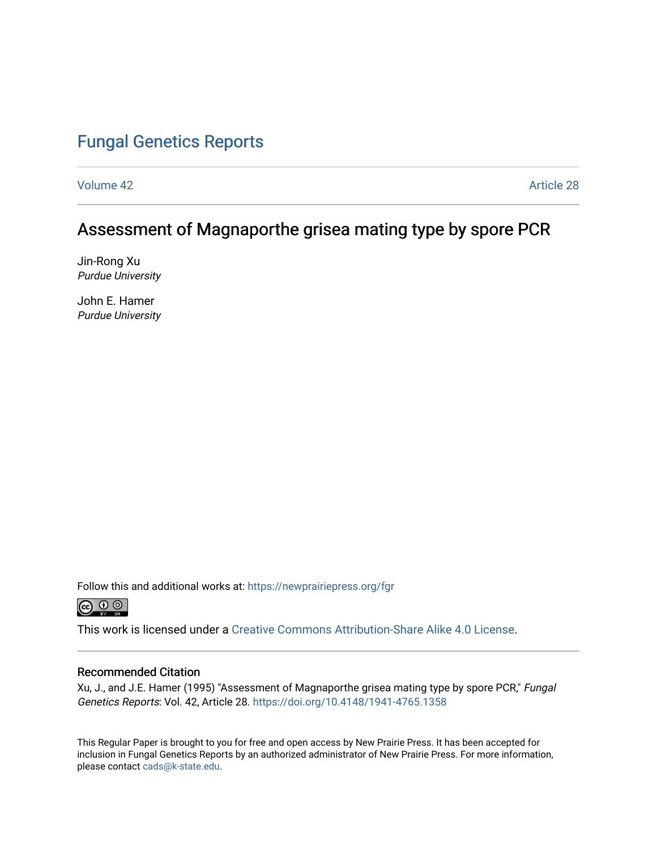# [Fungal Genetics Reports](https://newprairiepress.org/fgr)

[Volume 42](https://newprairiepress.org/fgr/vol42) Article 28

# Assessment of Magnaporthe grisea mating type by spore PCR

Jin-Rong Xu Purdue University

John E. Hamer Purdue University

Follow this and additional works at: [https://newprairiepress.org/fgr](https://newprairiepress.org/fgr?utm_source=newprairiepress.org%2Ffgr%2Fvol42%2Fiss1%2F28&utm_medium=PDF&utm_campaign=PDFCoverPages) 



This work is licensed under a [Creative Commons Attribution-Share Alike 4.0 License.](https://creativecommons.org/licenses/by-sa/4.0/)

#### Recommended Citation

Xu, J., and J.E. Hamer (1995) "Assessment of Magnaporthe grisea mating type by spore PCR," Fungal Genetics Reports: Vol. 42, Article 28. <https://doi.org/10.4148/1941-4765.1358>

This Regular Paper is brought to you for free and open access by New Prairie Press. It has been accepted for inclusion in Fungal Genetics Reports by an authorized administrator of New Prairie Press. For more information, please contact [cads@k-state.edu.](mailto:cads@k-state.edu)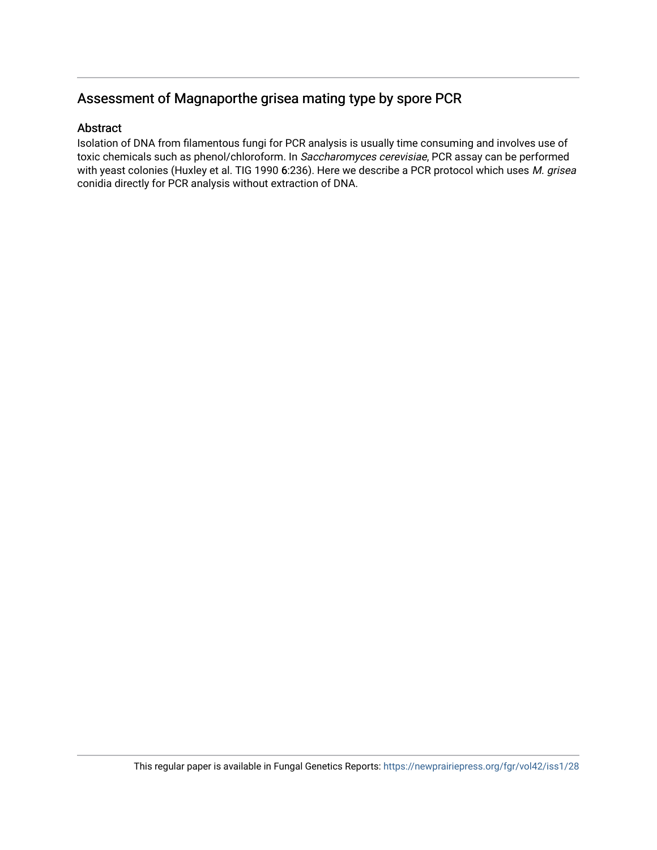## Assessment of Magnaporthe grisea mating type by spore PCR

### Abstract

Isolation of DNA from filamentous fungi for PCR analysis is usually time consuming and involves use of toxic chemicals such as phenol/chloroform. In Saccharomyces cerevisiae, PCR assay can be performed with yeast colonies (Huxley et al. TIG 1990 6:236). Here we describe a PCR protocol which uses M. grisea conidia directly for PCR analysis without extraction of DNA.